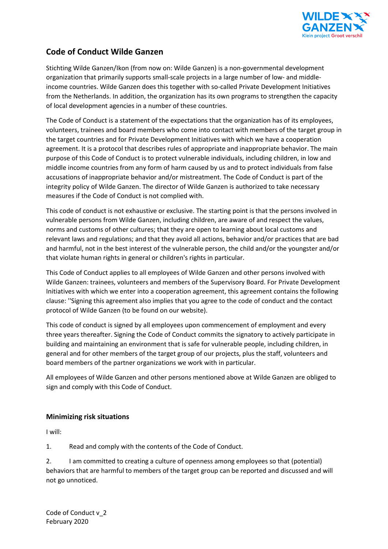

# **Code of Conduct Wilde Ganzen**

Stichting Wilde Ganzen/Ikon (from now on: Wilde Ganzen) is a non-governmental development organization that primarily supports small-scale projects in a large number of low- and middleincome countries. Wilde Ganzen does this together with so-called Private Development Initiatives from the Netherlands. In addition, the organization has its own programs to strengthen the capacity of local development agencies in a number of these countries.

The Code of Conduct is a statement of the expectations that the organization has of its employees, volunteers, trainees and board members who come into contact with members of the target group in the target countries and for Private Development Initiatives with which we have a cooperation agreement. It is a protocol that describes rules of appropriate and inappropriate behavior. The main purpose of this Code of Conduct is to protect vulnerable individuals, including children, in low and middle income countries from any form of harm caused by us and to protect individuals from false accusations of inappropriate behavior and/or mistreatment. The Code of Conduct is part of the integrity policy of Wilde Ganzen. The director of Wilde Ganzen is authorized to take necessary measures if the Code of Conduct is not complied with.

This code of conduct is not exhaustive or exclusive. The starting point is that the persons involved in vulnerable persons from Wilde Ganzen, including children, are aware of and respect the values, norms and customs of other cultures; that they are open to learning about local customs and relevant laws and regulations; and that they avoid all actions, behavior and/or practices that are bad and harmful, not in the best interest of the vulnerable person, the child and/or the youngster and/or that violate human rights in general or children's rights in particular.

This Code of Conduct applies to all employees of Wilde Ganzen and other persons involved with Wilde Ganzen: trainees, volunteers and members of the Supervisory Board. For Private Development Initiatives with which we enter into a cooperation agreement, this agreement contains the following clause: ''Signing this agreement also implies that you agree to the code of conduct and the contact protocol of Wilde Ganzen (to be found on our website).

This code of conduct is signed by all employees upon commencement of employment and every three years thereafter. Signing the Code of Conduct commits the signatory to actively participate in building and maintaining an environment that is safe for vulnerable people, including children, in general and for other members of the target group of our projects, plus the staff, volunteers and board members of the partner organizations we work with in particular.

All employees of Wilde Ganzen and other persons mentioned above at Wilde Ganzen are obliged to sign and comply with this Code of Conduct.

## **Minimizing risk situations**

I will:

1. Read and comply with the contents of the Code of Conduct.

2. I am committed to creating a culture of openness among employees so that (potential) behaviors that are harmful to members of the target group can be reported and discussed and will not go unnoticed.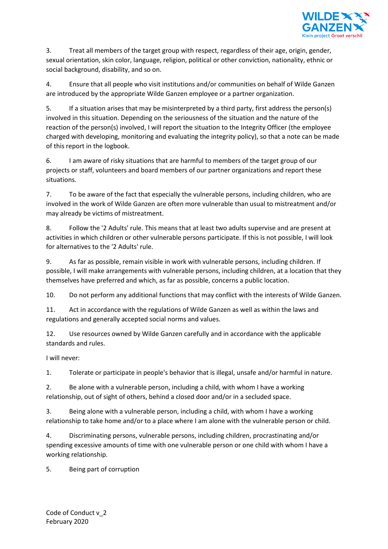

3. Treat all members of the target group with respect, regardless of their age, origin, gender, sexual orientation, skin color, language, religion, political or other conviction, nationality, ethnic or social background, disability, and so on.

4. Ensure that all people who visit institutions and/or communities on behalf of Wilde Ganzen are introduced by the appropriate Wilde Ganzen employee or a partner organization.

5. If a situation arises that may be misinterpreted by a third party, first address the person(s) involved in this situation. Depending on the seriousness of the situation and the nature of the reaction of the person(s) involved, I will report the situation to the Integrity Officer (the employee charged with developing, monitoring and evaluating the integrity policy), so that a note can be made of this report in the logbook.

6. I am aware of risky situations that are harmful to members of the target group of our projects or staff, volunteers and board members of our partner organizations and report these situations.

7. To be aware of the fact that especially the vulnerable persons, including children, who are involved in the work of Wilde Ganzen are often more vulnerable than usual to mistreatment and/or may already be victims of mistreatment.

8. Follow the '2 Adults' rule. This means that at least two adults supervise and are present at activities in which children or other vulnerable persons participate. If this is not possible, I will look for alternatives to the '2 Adults' rule.

9. As far as possible, remain visible in work with vulnerable persons, including children. If possible, I will make arrangements with vulnerable persons, including children, at a location that they themselves have preferred and which, as far as possible, concerns a public location.

10. Do not perform any additional functions that may conflict with the interests of Wilde Ganzen.

11. Act in accordance with the regulations of Wilde Ganzen as well as within the laws and regulations and generally accepted social norms and values.

12. Use resources owned by Wilde Ganzen carefully and in accordance with the applicable standards and rules.

I will never:

1. Tolerate or participate in people's behavior that is illegal, unsafe and/or harmful in nature.

2. Be alone with a vulnerable person, including a child, with whom I have a working relationship, out of sight of others, behind a closed door and/or in a secluded space.

3. Being alone with a vulnerable person, including a child, with whom I have a working relationship to take home and/or to a place where I am alone with the vulnerable person or child.

4. Discriminating persons, vulnerable persons, including children, procrastinating and/or spending excessive amounts of time with one vulnerable person or one child with whom I have a working relationship.

5. Being part of corruption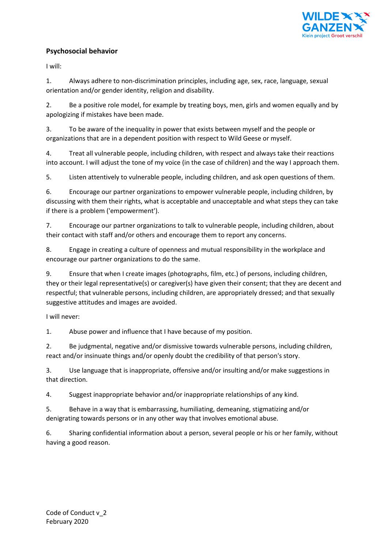

## **Psychosocial behavior**

I will:

1. Always adhere to non-discrimination principles, including age, sex, race, language, sexual orientation and/or gender identity, religion and disability.

2. Be a positive role model, for example by treating boys, men, girls and women equally and by apologizing if mistakes have been made.

3. To be aware of the inequality in power that exists between myself and the people or organizations that are in a dependent position with respect to Wild Geese or myself.

4. Treat all vulnerable people, including children, with respect and always take their reactions into account. I will adjust the tone of my voice (in the case of children) and the way I approach them.

5. Listen attentively to vulnerable people, including children, and ask open questions of them.

6. Encourage our partner organizations to empower vulnerable people, including children, by discussing with them their rights, what is acceptable and unacceptable and what steps they can take if there is a problem ('empowerment').

7. Encourage our partner organizations to talk to vulnerable people, including children, about their contact with staff and/or others and encourage them to report any concerns.

8. Engage in creating a culture of openness and mutual responsibility in the workplace and encourage our partner organizations to do the same.

9. Ensure that when I create images (photographs, film, etc.) of persons, including children, they or their legal representative(s) or caregiver(s) have given their consent; that they are decent and respectful; that vulnerable persons, including children, are appropriately dressed; and that sexually suggestive attitudes and images are avoided.

I will never:

1. Abuse power and influence that I have because of my position.

2. Be judgmental, negative and/or dismissive towards vulnerable persons, including children, react and/or insinuate things and/or openly doubt the credibility of that person's story.

3. Use language that is inappropriate, offensive and/or insulting and/or make suggestions in that direction.

4. Suggest inappropriate behavior and/or inappropriate relationships of any kind.

5. Behave in a way that is embarrassing, humiliating, demeaning, stigmatizing and/or denigrating towards persons or in any other way that involves emotional abuse.

6. Sharing confidential information about a person, several people or his or her family, without having a good reason.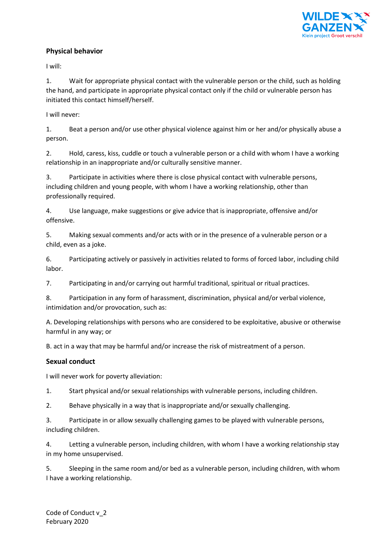

### **Physical behavior**

I will:

1. Wait for appropriate physical contact with the vulnerable person or the child, such as holding the hand, and participate in appropriate physical contact only if the child or vulnerable person has initiated this contact himself/herself.

I will never:

1. Beat a person and/or use other physical violence against him or her and/or physically abuse a person.

2. Hold, caress, kiss, cuddle or touch a vulnerable person or a child with whom I have a working relationship in an inappropriate and/or culturally sensitive manner.

3. Participate in activities where there is close physical contact with vulnerable persons, including children and young people, with whom I have a working relationship, other than professionally required.

4. Use language, make suggestions or give advice that is inappropriate, offensive and/or offensive.

5. Making sexual comments and/or acts with or in the presence of a vulnerable person or a child, even as a joke.

6. Participating actively or passively in activities related to forms of forced labor, including child labor.

7. Participating in and/or carrying out harmful traditional, spiritual or ritual practices.

8. Participation in any form of harassment, discrimination, physical and/or verbal violence, intimidation and/or provocation, such as:

A. Developing relationships with persons who are considered to be exploitative, abusive or otherwise harmful in any way; or

B. act in a way that may be harmful and/or increase the risk of mistreatment of a person.

## **Sexual conduct**

I will never work for poverty alleviation:

1. Start physical and/or sexual relationships with vulnerable persons, including children.

2. Behave physically in a way that is inappropriate and/or sexually challenging.

3. Participate in or allow sexually challenging games to be played with vulnerable persons, including children.

4. Letting a vulnerable person, including children, with whom I have a working relationship stay in my home unsupervised.

5. Sleeping in the same room and/or bed as a vulnerable person, including children, with whom I have a working relationship.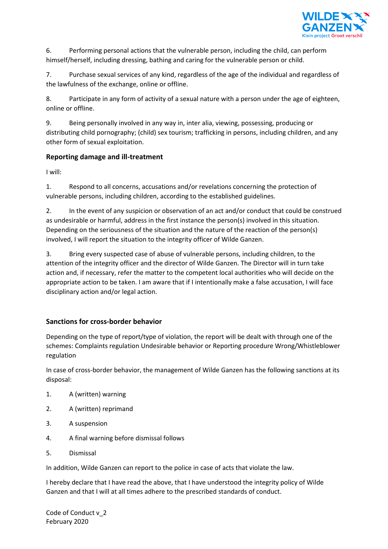

6. Performing personal actions that the vulnerable person, including the child, can perform himself/herself, including dressing, bathing and caring for the vulnerable person or child.

7. Purchase sexual services of any kind, regardless of the age of the individual and regardless of the lawfulness of the exchange, online or offline.

8. Participate in any form of activity of a sexual nature with a person under the age of eighteen, online or offline.

9. Being personally involved in any way in, inter alia, viewing, possessing, producing or distributing child pornography; (child) sex tourism; trafficking in persons, including children, and any other form of sexual exploitation.

### **Reporting damage and ill-treatment**

I will:

1. Respond to all concerns, accusations and/or revelations concerning the protection of vulnerable persons, including children, according to the established guidelines.

2. In the event of any suspicion or observation of an act and/or conduct that could be construed as undesirable or harmful, address in the first instance the person(s) involved in this situation. Depending on the seriousness of the situation and the nature of the reaction of the person(s) involved, I will report the situation to the integrity officer of Wilde Ganzen.

3. Bring every suspected case of abuse of vulnerable persons, including children, to the attention of the integrity officer and the director of Wilde Ganzen. The Director will in turn take action and, if necessary, refer the matter to the competent local authorities who will decide on the appropriate action to be taken. I am aware that if I intentionally make a false accusation, I will face disciplinary action and/or legal action.

## **Sanctions for cross-border behavior**

Depending on the type of report/type of violation, the report will be dealt with through one of the schemes: Complaints regulation Undesirable behavior or Reporting procedure Wrong/Whistleblower regulation

In case of cross-border behavior, the management of Wilde Ganzen has the following sanctions at its disposal:

- 1. A (written) warning
- 2. A (written) reprimand
- 3. A suspension
- 4. A final warning before dismissal follows
- 5. Dismissal

In addition, Wilde Ganzen can report to the police in case of acts that violate the law.

I hereby declare that I have read the above, that I have understood the integrity policy of Wilde Ganzen and that I will at all times adhere to the prescribed standards of conduct.

Code of Conduct v\_2 February 2020